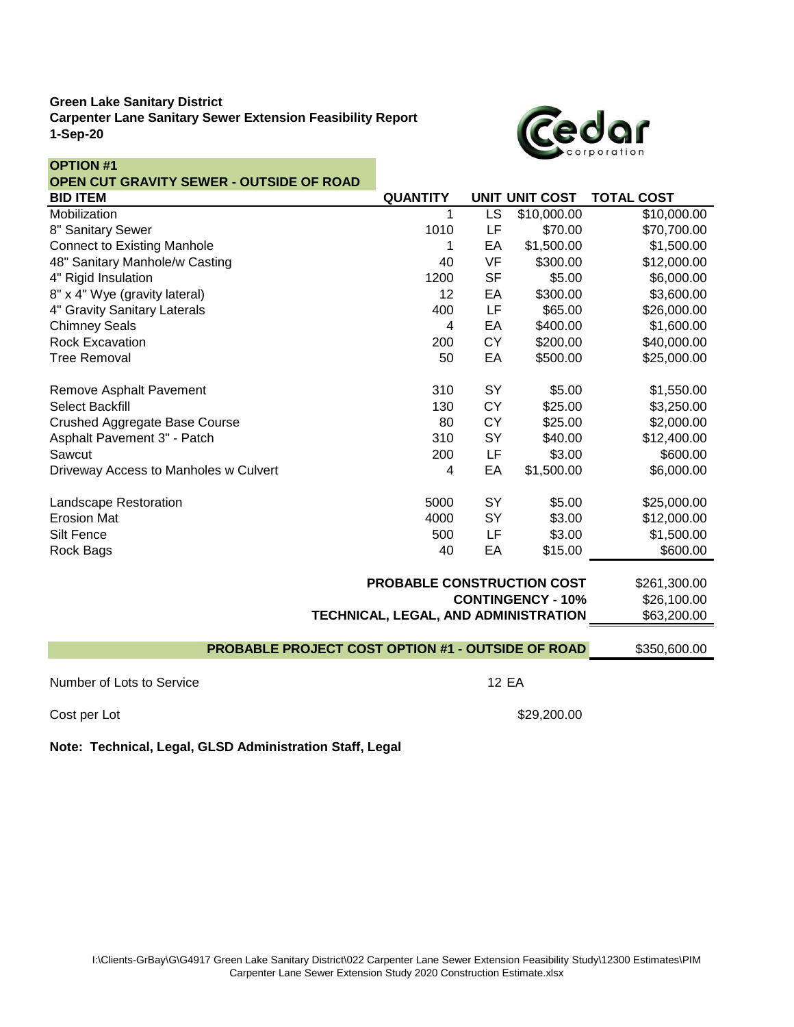## **Green Lake Sanitary District Carpenter Lane Sanitary Sewer Extension Feasibility Report 1-Sep-20**



| <b>OPTION #1</b>                                  |                 |                        |                       |                   |
|---------------------------------------------------|-----------------|------------------------|-----------------------|-------------------|
| <b>OPEN CUT GRAVITY SEWER - OUTSIDE OF ROAD</b>   |                 |                        |                       |                   |
| <b>BID ITEM</b>                                   | <b>QUANTITY</b> |                        | <b>UNIT UNIT COST</b> | <b>TOTAL COST</b> |
| Mobilization                                      | 1               | $\overline{\text{LS}}$ | \$10,000.00           | \$10,000.00       |
| 8" Sanitary Sewer                                 | 1010            | LF                     | \$70.00               | \$70,700.00       |
| <b>Connect to Existing Manhole</b>                | 1               | EA                     | \$1,500.00            | \$1,500.00        |
| 48" Sanitary Manhole/w Casting                    | 40              | VF                     | \$300.00              | \$12,000.00       |
| 4" Rigid Insulation                               | 1200            | <b>SF</b>              | \$5.00                | \$6,000.00        |
| 8" x 4" Wye (gravity lateral)                     | 12              | EA                     | \$300.00              | \$3,600.00        |
| 4" Gravity Sanitary Laterals                      | 400             | LF                     | \$65.00               | \$26,000.00       |
| <b>Chimney Seals</b>                              | 4               | EA                     | \$400.00              | \$1,600.00        |
| <b>Rock Excavation</b>                            | 200             | <b>CY</b>              | \$200.00              | \$40,000.00       |
| <b>Tree Removal</b>                               | 50              | EA                     | \$500.00              | \$25,000.00       |
| Remove Asphalt Pavement                           | 310             | SY                     | \$5.00                | \$1,550.00        |
| <b>Select Backfill</b>                            | 130             | <b>CY</b>              | \$25.00               | \$3,250.00        |
| <b>Crushed Aggregate Base Course</b>              | 80              | <b>CY</b>              | \$25.00               | \$2,000.00        |
| Asphalt Pavement 3" - Patch                       | 310             | SY                     | \$40.00               | \$12,400.00       |
| Sawcut                                            | 200             | LF                     | \$3.00                | \$600.00          |
| Driveway Access to Manholes w Culvert             | 4               | EA                     | \$1,500.00            | \$6,000.00        |
| Landscape Restoration                             | 5000            | SY                     | \$5.00                | \$25,000.00       |
| <b>Erosion Mat</b>                                | 4000            | SY                     | \$3.00                | \$12,000.00       |
| Silt Fence                                        | 500             | LF                     | \$3.00                | \$1,500.00        |
| Rock Bags                                         | 40              | EA                     | \$15.00               | \$600.00          |
| PROBABLE CONSTRUCTION COST<br>\$261,300.00        |                 |                        |                       |                   |
| <b>CONTINGENCY - 10%</b>                          |                 |                        |                       | \$26,100.00       |
| TECHNICAL, LEGAL, AND ADMINISTRATION              |                 |                        |                       | \$63,200.00       |
| PROBABLE PROJECT COST OPTION #1 - OUTSIDE OF ROAD |                 |                        |                       |                   |
|                                                   |                 |                        |                       | \$350,600.00      |
| Number of Lots to Service                         | <b>12 EA</b>    |                        |                       |                   |

Cost per Lot \$29,200.00

**Note: Technical, Legal, GLSD Administration Staff, Legal**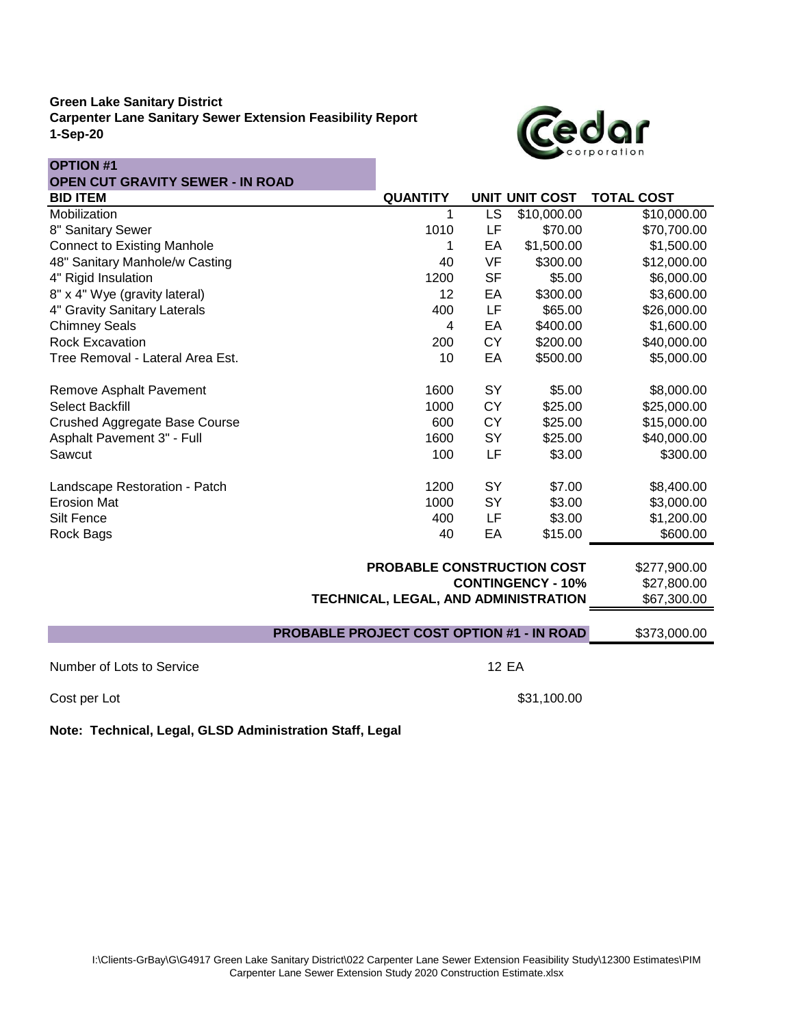# **Green Lake Sanitary District Carpenter Lane Sanitary Sewer Extension Feasibility Report 1-Sep-20**



| <b>OPTION #1</b>                                 |             |                                   |              |                       |                   |
|--------------------------------------------------|-------------|-----------------------------------|--------------|-----------------------|-------------------|
| <b>OPEN CUT GRAVITY SEWER - IN ROAD</b>          |             |                                   |              |                       |                   |
| <b>BID ITEM</b>                                  |             | <b>QUANTITY</b>                   |              | <b>UNIT UNIT COST</b> | <b>TOTAL COST</b> |
| Mobilization                                     |             | 1                                 | LS           | \$10,000.00           | \$10,000.00       |
| 8" Sanitary Sewer                                |             | 1010                              | LF           | \$70.00               | \$70,700.00       |
| <b>Connect to Existing Manhole</b>               |             | 1                                 | EA           | \$1,500.00            | \$1,500.00        |
| 48" Sanitary Manhole/w Casting                   |             | 40                                | VF           | \$300.00              | \$12,000.00       |
| 4" Rigid Insulation                              |             | 1200                              | <b>SF</b>    | \$5.00                | \$6,000.00        |
| 8" x 4" Wye (gravity lateral)                    |             | 12                                | EA           | \$300.00              | \$3,600.00        |
| 4" Gravity Sanitary Laterals                     |             | 400                               | LF           | \$65.00               | \$26,000.00       |
| <b>Chimney Seals</b>                             |             | 4                                 | EA           | \$400.00              | \$1,600.00        |
| <b>Rock Excavation</b>                           |             | 200                               | <b>CY</b>    | \$200.00              | \$40,000.00       |
| Tree Removal - Lateral Area Est.                 |             | 10                                | EA           | \$500.00              | \$5,000.00        |
| Remove Asphalt Pavement                          |             | 1600                              | SY           | \$5.00                | \$8,000.00        |
| <b>Select Backfill</b>                           |             | 1000                              | <b>CY</b>    | \$25.00               | \$25,000.00       |
| <b>Crushed Aggregate Base Course</b>             |             | 600                               | <b>CY</b>    | \$25.00               | \$15,000.00       |
| Asphalt Pavement 3" - Full                       |             | 1600                              | SY           | \$25.00               | \$40,000.00       |
| Sawcut                                           |             | 100                               | LF           | \$3.00                | \$300.00          |
| Landscape Restoration - Patch                    |             | 1200                              | SY           | \$7.00                | \$8,400.00        |
| <b>Erosion Mat</b>                               |             | 1000                              | SY           | \$3.00                | \$3,000.00        |
| Silt Fence                                       |             | 400                               | LF           | \$3.00                | \$1,200.00        |
| Rock Bags                                        |             | 40                                | EA           | \$15.00               | \$600.00          |
|                                                  |             | <b>PROBABLE CONSTRUCTION COST</b> |              |                       | \$277,900.00      |
| <b>CONTINGENCY - 10%</b>                         |             |                                   |              | \$27,800.00           |                   |
| TECHNICAL, LEGAL, AND ADMINISTRATION             |             |                                   |              | \$67,300.00           |                   |
| <b>PROBABLE PROJECT COST OPTION #1 - IN ROAD</b> |             |                                   |              |                       | \$373,000.00      |
| Number of Lots to Service                        |             |                                   | <b>12 EA</b> |                       |                   |
|                                                  |             |                                   |              |                       |                   |
| Cost per Lot                                     | \$31,100.00 |                                   |              |                       |                   |

**Note: Technical, Legal, GLSD Administration Staff, Legal**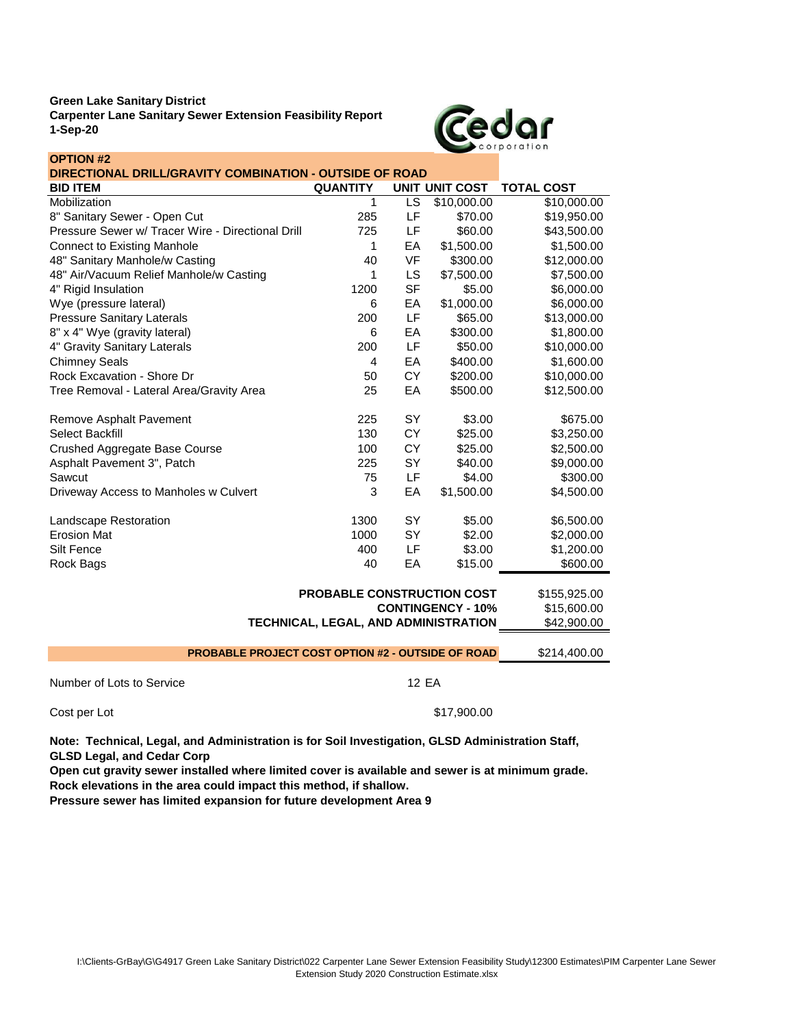**OPTION #2**

**Carpenter Lane Sanitary Sewer Extension Feasibility Report 1-Sep-20**



| DIRECTIONAL DRILL/GRAVITY COMBINATION - OUTSIDE OF ROAD  |                            |           |                       |                   |
|----------------------------------------------------------|----------------------------|-----------|-----------------------|-------------------|
| <b>BID ITEM</b>                                          | <b>QUANTITY</b>            |           | <b>UNIT UNIT COST</b> | <b>TOTAL COST</b> |
| Mobilization                                             | 1                          | LS        | \$10,000.00           | \$10,000.00       |
| 8" Sanitary Sewer - Open Cut                             | 285                        | LF        | \$70.00               | \$19,950.00       |
| Pressure Sewer w/ Tracer Wire - Directional Drill        | 725                        | LF        | \$60.00               | \$43,500.00       |
| <b>Connect to Existing Manhole</b>                       | 1                          | EA        | \$1,500.00            | \$1,500.00        |
| 48" Sanitary Manhole/w Casting                           | 40                         | <b>VF</b> | \$300.00              | \$12,000.00       |
| 48" Air/Vacuum Relief Manhole/w Casting                  | 1                          | LS        | \$7,500.00            | \$7,500.00        |
| 4" Rigid Insulation                                      | 1200                       | <b>SF</b> | \$5.00                | \$6,000.00        |
| Wye (pressure lateral)                                   | 6                          | EA        | \$1,000.00            | \$6,000.00        |
| <b>Pressure Sanitary Laterals</b>                        | 200                        | LF        | \$65.00               | \$13,000.00       |
| 8" x 4" Wye (gravity lateral)                            | 6                          | EA        | \$300.00              | \$1,800.00        |
| 4" Gravity Sanitary Laterals                             | 200                        | LF        | \$50.00               | \$10,000.00       |
| <b>Chimney Seals</b>                                     | 4                          | EA        | \$400.00              | \$1,600.00        |
| Rock Excavation - Shore Dr                               | 50                         | <b>CY</b> | \$200.00              | \$10,000.00       |
| Tree Removal - Lateral Area/Gravity Area                 | 25                         | EA        | \$500.00              | \$12,500.00       |
| Remove Asphalt Pavement                                  | 225                        | SY        | \$3.00                | \$675.00          |
| Select Backfill                                          | 130                        | CY        | \$25.00               | \$3,250.00        |
| Crushed Aggregate Base Course                            | 100                        | CY        | \$25.00               | \$2,500.00        |
| Asphalt Pavement 3", Patch                               | 225                        | SY        | \$40.00               | \$9,000.00        |
| Sawcut                                                   | 75                         | LF        | \$4.00                | \$300.00          |
| Driveway Access to Manholes w Culvert                    | 3                          | EA        | \$1,500.00            | \$4,500.00        |
| Landscape Restoration                                    | 1300                       | SY        | \$5.00                | \$6,500.00        |
| <b>Erosion Mat</b>                                       | 1000                       | SY        | \$2.00                | \$2,000.00        |
| Silt Fence                                               | 400                        | LF        | \$3.00                | \$1,200.00        |
| Rock Bags                                                | 40                         | EA        | \$15.00               | \$600.00          |
|                                                          | PROBABLE CONSTRUCTION COST |           |                       | \$155,925.00      |
| <b>CONTINGENCY - 10%</b>                                 |                            |           |                       | \$15,600.00       |
| TECHNICAL, LEGAL, AND ADMINISTRATION                     |                            |           | \$42,900.00           |                   |
| <b>PROBABLE PROJECT COST OPTION #2 - OUTSIDE OF ROAD</b> |                            |           |                       | \$214,400.00      |
|                                                          |                            |           |                       |                   |

Number of Lots to Service 12 EA Cost per Lot  $$17,900.00$ 

**Note: Technical, Legal, and Administration is for Soil Investigation, GLSD Administration Staff, GLSD Legal, and Cedar Corp**

**Rock elevations in the area could impact this method, if shallow. Open cut gravity sewer installed where limited cover is available and sewer is at minimum grade.**

**Pressure sewer has limited expansion for future development Area 9**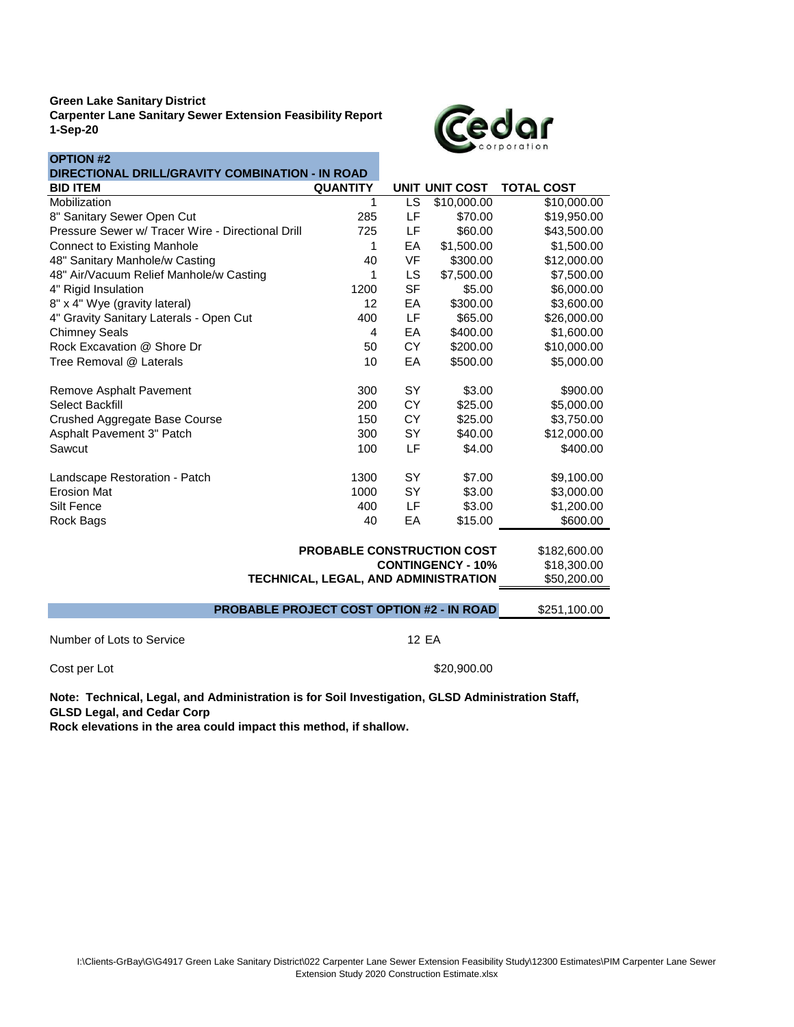**OPTION #2**

**Carpenter Lane Sanitary Sewer Extension Feasibility Report 1-Sep-20**



| א זוטו זט<br>DIRECTIONAL DRILL/GRAVITY COMBINATION - IN ROAD |                                         |           |                       |                   |
|--------------------------------------------------------------|-----------------------------------------|-----------|-----------------------|-------------------|
| <b>BID ITEM</b>                                              | <b>QUANTITY</b>                         |           | <b>UNIT UNIT COST</b> | <b>TOTAL COST</b> |
| Mobilization                                                 | 1                                       | LS        | \$10,000.00           | \$10,000.00       |
| 8" Sanitary Sewer Open Cut                                   | 285                                     | LF        | \$70.00               | \$19,950.00       |
| Pressure Sewer w/ Tracer Wire - Directional Drill            | 725                                     | LF        | \$60.00               | \$43,500.00       |
| <b>Connect to Existing Manhole</b>                           | 1                                       | EA        | \$1,500.00            | \$1,500.00        |
| 48" Sanitary Manhole/w Casting                               | 40                                      | VF        | \$300.00              | \$12,000.00       |
| 48" Air/Vacuum Relief Manhole/w Casting                      | 1                                       | LS        | \$7,500.00            | \$7,500.00        |
| 4" Rigid Insulation                                          | 1200                                    | <b>SF</b> | \$5.00                | \$6,000.00        |
| 8" x 4" Wye (gravity lateral)                                | 12                                      | EA        | \$300.00              | \$3,600.00        |
| 4" Gravity Sanitary Laterals - Open Cut                      | 400                                     | LF        | \$65.00               | \$26,000.00       |
| <b>Chimney Seals</b>                                         | 4                                       | EA        | \$400.00              | \$1,600.00        |
| Rock Excavation @ Shore Dr                                   | 50                                      | <b>CY</b> | \$200.00              | \$10,000.00       |
| Tree Removal @ Laterals                                      | 10                                      | EA        | \$500.00              | \$5,000.00        |
| Remove Asphalt Pavement                                      | 300                                     | <b>SY</b> | \$3.00                | \$900.00          |
| Select Backfill                                              | 200                                     | CY        | \$25.00               | \$5,000.00        |
| Crushed Aggregate Base Course                                | 150                                     | CY        | \$25.00               | \$3,750.00        |
| Asphalt Pavement 3" Patch                                    | 300                                     | SY        | \$40.00               | \$12,000.00       |
| Sawcut                                                       | 100                                     | LF        | \$4.00                | \$400.00          |
| Landscape Restoration - Patch                                | 1300                                    | SY        | \$7.00                | \$9,100.00        |
| <b>Erosion Mat</b>                                           | 1000                                    | SY        | \$3.00                | \$3,000.00        |
| Silt Fence                                                   | 400                                     | LF        | \$3.00                | \$1,200.00        |
| Rock Bags                                                    | 40                                      | EA        | \$15.00               | \$600.00          |
| PROBABLE CONSTRUCTION COST                                   |                                         |           |                       | \$182,600.00      |
|                                                              | <b>CONTINGENCY - 10%</b><br>\$18,300.00 |           |                       |                   |
| TECHNICAL, LEGAL, AND ADMINISTRATION                         | \$50,200.00                             |           |                       |                   |
| <b>PROBABLE PROJECT COST OPTION #2 - IN ROAD</b>             | \$251,100.00                            |           |                       |                   |
| Number of Lots to Service<br>12 EA                           |                                         |           |                       |                   |

Cost per Lot \$20,900.00

**Note: Technical, Legal, and Administration is for Soil Investigation, GLSD Administration Staff, GLSD Legal, and Cedar Corp**

**Rock elevations in the area could impact this method, if shallow.**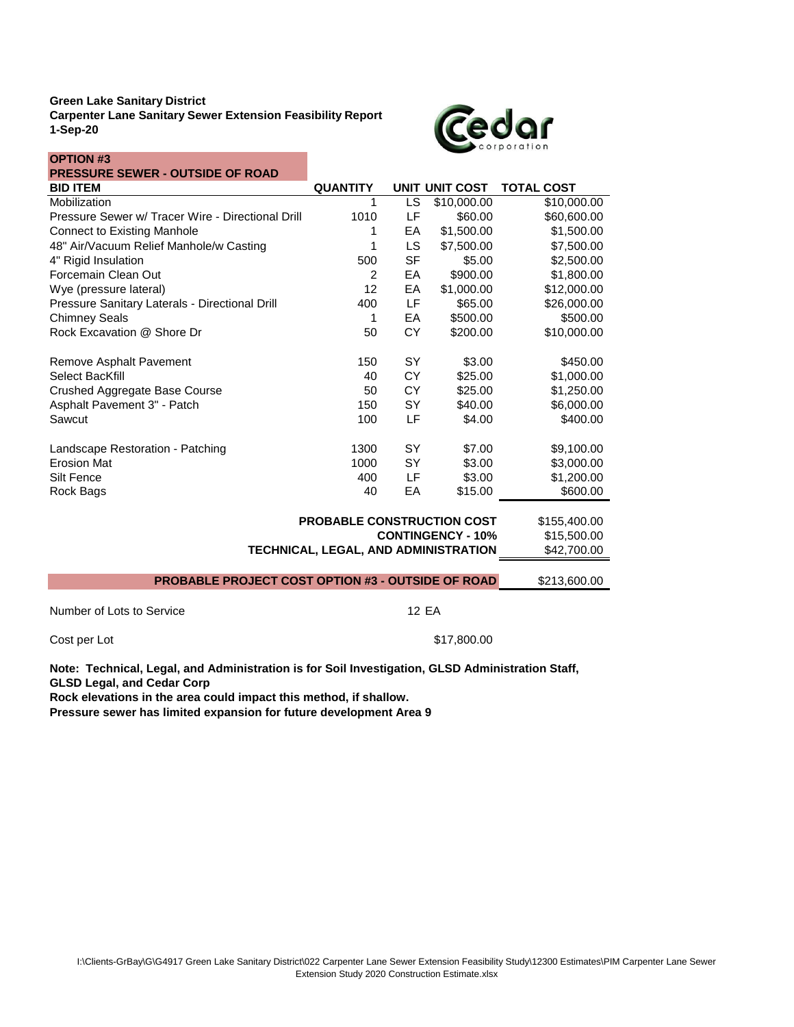**Carpenter Lane Sanitary Sewer Extension Feasibility Report 1-Sep-20**



| <b>OPTION #3</b>                                                                                                                                                                                           |                                      |              |                          |                   |
|------------------------------------------------------------------------------------------------------------------------------------------------------------------------------------------------------------|--------------------------------------|--------------|--------------------------|-------------------|
| <b>PRESSURE SEWER - OUTSIDE OF ROAD</b>                                                                                                                                                                    |                                      |              |                          |                   |
| <b>BID ITEM</b>                                                                                                                                                                                            | <b>QUANTITY</b>                      |              | <b>UNIT UNIT COST</b>    | <b>TOTAL COST</b> |
| Mobilization                                                                                                                                                                                               | 1                                    | LS           | \$10,000.00              | \$10,000.00       |
| Pressure Sewer w/ Tracer Wire - Directional Drill                                                                                                                                                          | 1010                                 | LF           | \$60.00                  | \$60,600.00       |
| <b>Connect to Existing Manhole</b>                                                                                                                                                                         | 1                                    | EA           | \$1,500.00               | \$1,500.00        |
| 48" Air/Vacuum Relief Manhole/w Casting                                                                                                                                                                    | 1                                    | LS.          | \$7,500.00               | \$7,500.00        |
| 4" Rigid Insulation                                                                                                                                                                                        | 500                                  | <b>SF</b>    | \$5.00                   | \$2,500.00        |
| Forcemain Clean Out                                                                                                                                                                                        | $\overline{2}$                       | EA           | \$900.00                 | \$1,800.00        |
| Wye (pressure lateral)                                                                                                                                                                                     | 12                                   | EA           | \$1,000.00               | \$12,000.00       |
| Pressure Sanitary Laterals - Directional Drill                                                                                                                                                             | 400                                  | LF.          | \$65.00                  | \$26,000.00       |
| <b>Chimney Seals</b>                                                                                                                                                                                       | 1                                    | EA           | \$500.00                 | \$500.00          |
| Rock Excavation @ Shore Dr                                                                                                                                                                                 | 50                                   | <b>CY</b>    | \$200.00                 | \$10,000.00       |
| Remove Asphalt Pavement                                                                                                                                                                                    | 150                                  | <b>SY</b>    | \$3.00                   | \$450.00          |
| Select BacKfill                                                                                                                                                                                            | 40                                   | <b>CY</b>    | \$25.00                  | \$1,000.00        |
| Crushed Aggregate Base Course                                                                                                                                                                              | 50                                   | <b>CY</b>    | \$25.00                  | \$1,250.00        |
| Asphalt Pavement 3" - Patch                                                                                                                                                                                | 150                                  | SY           | \$40.00                  | \$6,000.00        |
| Sawcut                                                                                                                                                                                                     | 100                                  | LF           | \$4.00                   | \$400.00          |
| Landscape Restoration - Patching                                                                                                                                                                           | 1300                                 | <b>SY</b>    | \$7.00                   | \$9,100.00        |
| <b>Erosion Mat</b>                                                                                                                                                                                         | 1000                                 | SY           | \$3.00                   | \$3,000.00        |
| Silt Fence                                                                                                                                                                                                 | 400                                  | LF           | \$3.00                   | \$1,200.00        |
| Rock Bags                                                                                                                                                                                                  | 40                                   | EA           | \$15.00                  | \$600.00          |
| <b>PROBABLE CONSTRUCTION COST</b>                                                                                                                                                                          | \$155,400.00                         |              |                          |                   |
|                                                                                                                                                                                                            |                                      |              | <b>CONTINGENCY - 10%</b> | \$15,500.00       |
|                                                                                                                                                                                                            | TECHNICAL, LEGAL, AND ADMINISTRATION |              |                          | \$42,700.00       |
| <b>PROBABLE PROJECT COST OPTION #3 - OUTSIDE OF ROAD</b>                                                                                                                                                   |                                      |              |                          | \$213,600.00      |
| Number of Lots to Service                                                                                                                                                                                  |                                      | <b>12 EA</b> |                          |                   |
|                                                                                                                                                                                                            |                                      |              |                          |                   |
| \$17,800.00<br>Cost per Lot                                                                                                                                                                                |                                      |              |                          |                   |
| Note: Technical, Legal, and Administration is for Soil Investigation, GLSD Administration Staff,<br><b>GLSD Legal, and Cedar Corp</b><br>Rock elevations in the area could impact this method, if shallow. |                                      |              |                          |                   |

**Rock elevations in the area could impact this method, if shallow. Pressure sewer has limited expansion for future development Area 9**